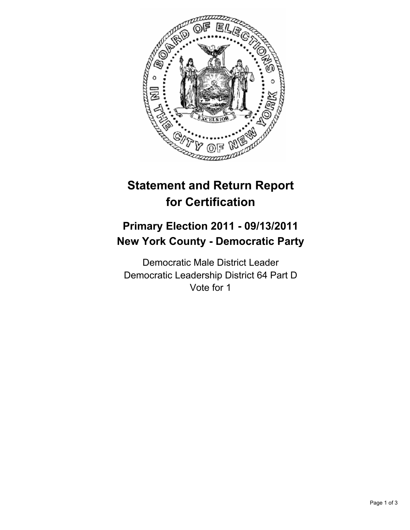

# **Statement and Return Report for Certification**

## **Primary Election 2011 - 09/13/2011 New York County - Democratic Party**

Democratic Male District Leader Democratic Leadership District 64 Part D Vote for 1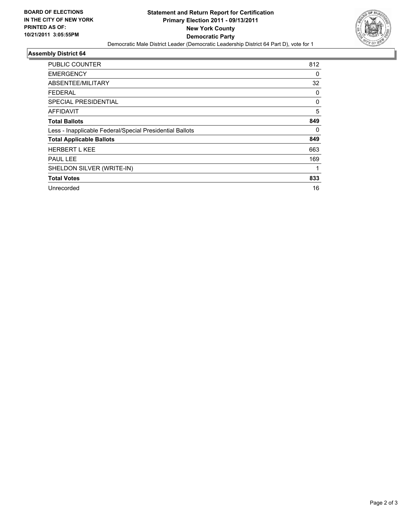

### **Assembly District 64**

| <b>PUBLIC COUNTER</b>                                    | 812 |
|----------------------------------------------------------|-----|
| <b>EMERGENCY</b>                                         | 0   |
| ABSENTEE/MILITARY                                        | 32  |
| <b>FEDERAL</b>                                           | 0   |
| <b>SPECIAL PRESIDENTIAL</b>                              | 0   |
| AFFIDAVIT                                                | 5   |
| <b>Total Ballots</b>                                     | 849 |
| Less - Inapplicable Federal/Special Presidential Ballots | 0   |
| <b>Total Applicable Ballots</b>                          | 849 |
| <b>HERBERT L KEE</b>                                     | 663 |
| PAUL LEE                                                 | 169 |
| SHELDON SILVER (WRITE-IN)                                |     |
| <b>Total Votes</b>                                       | 833 |
| Unrecorded                                               | 16  |